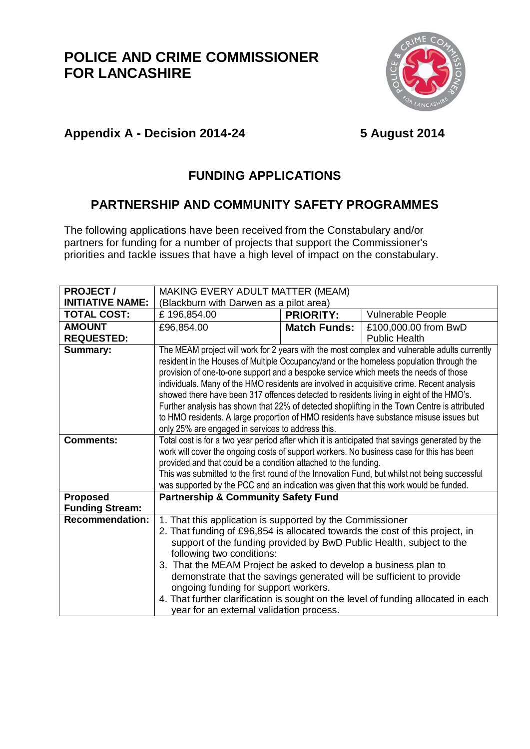## **POLICE AND CRIME COMMISSIONER FOR LANCASHIRE**



## **Appendix A - Decision 2014-24 5 August 2014**

### **FUNDING APPLICATIONS**

#### **PARTNERSHIP AND COMMUNITY SAFETY PROGRAMMES**

The following applications have been received from the Constabulary and/or partners for funding for a number of projects that support the Commissioner's priorities and tackle issues that have a high level of impact on the constabulary.

| <b>PROJECT/</b>         | MAKING EVERY ADULT MATTER (MEAM)                                                                |                                                                 |                      |  |  |
|-------------------------|-------------------------------------------------------------------------------------------------|-----------------------------------------------------------------|----------------------|--|--|
| <b>INITIATIVE NAME:</b> | (Blackburn with Darwen as a pilot area)                                                         |                                                                 |                      |  |  |
| <b>TOTAL COST:</b>      | £196,854.00                                                                                     | <b>PRIORITY:</b>                                                | Vulnerable People    |  |  |
| <b>AMOUNT</b>           | £96,854.00                                                                                      | <b>Match Funds:</b>                                             | £100,000.00 from BwD |  |  |
| <b>REQUESTED:</b>       |                                                                                                 |                                                                 | <b>Public Health</b> |  |  |
| Summary:                | The MEAM project will work for 2 years with the most complex and vulnerable adults currently    |                                                                 |                      |  |  |
|                         | resident in the Houses of Multiple Occupancy/and or the homeless population through the         |                                                                 |                      |  |  |
|                         | provision of one-to-one support and a bespoke service which meets the needs of those            |                                                                 |                      |  |  |
|                         | individuals. Many of the HMO residents are involved in acquisitive crime. Recent analysis       |                                                                 |                      |  |  |
|                         | showed there have been 317 offences detected to residents living in eight of the HMO's.         |                                                                 |                      |  |  |
|                         | Further analysis has shown that 22% of detected shoplifting in the Town Centre is attributed    |                                                                 |                      |  |  |
|                         | to HMO residents. A large proportion of HMO residents have substance misuse issues but          |                                                                 |                      |  |  |
|                         | only 25% are engaged in services to address this.                                               |                                                                 |                      |  |  |
| <b>Comments:</b>        | Total cost is for a two year period after which it is anticipated that savings generated by the |                                                                 |                      |  |  |
|                         | work will cover the ongoing costs of support workers. No business case for this has been        |                                                                 |                      |  |  |
|                         | provided and that could be a condition attached to the funding.                                 |                                                                 |                      |  |  |
|                         | This was submitted to the first round of the Innovation Fund, but whilst not being successful   |                                                                 |                      |  |  |
|                         | was supported by the PCC and an indication was given that this work would be funded.            |                                                                 |                      |  |  |
| <b>Proposed</b>         | <b>Partnership &amp; Community Safety Fund</b>                                                  |                                                                 |                      |  |  |
| <b>Funding Stream:</b>  |                                                                                                 |                                                                 |                      |  |  |
| <b>Recommendation:</b>  | 1. That this application is supported by the Commissioner                                       |                                                                 |                      |  |  |
|                         | 2. That funding of £96,854 is allocated towards the cost of this project, in                    |                                                                 |                      |  |  |
|                         | support of the funding provided by BwD Public Health, subject to the                            |                                                                 |                      |  |  |
|                         | following two conditions:                                                                       |                                                                 |                      |  |  |
|                         |                                                                                                 | 3. That the MEAM Project be asked to develop a business plan to |                      |  |  |
|                         | demonstrate that the savings generated will be sufficient to provide                            |                                                                 |                      |  |  |
|                         | ongoing funding for support workers.                                                            |                                                                 |                      |  |  |
|                         | 4. That further clarification is sought on the level of funding allocated in each               |                                                                 |                      |  |  |
|                         | year for an external validation process.                                                        |                                                                 |                      |  |  |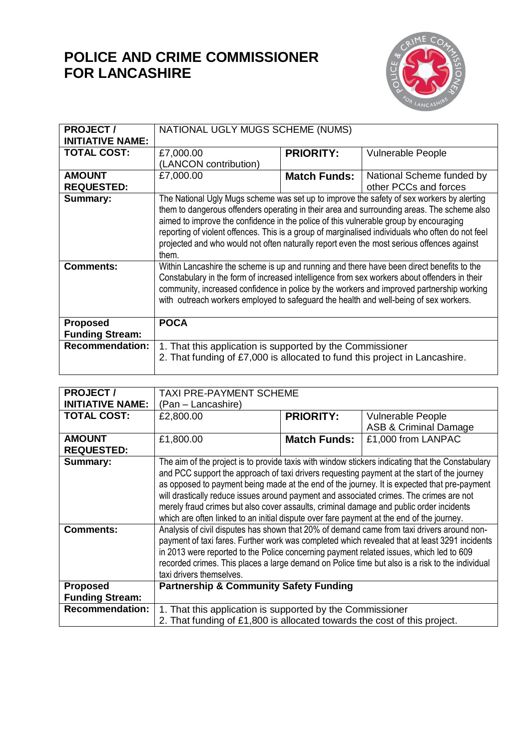# **POLICE AND CRIME COMMISSIONER FOR LANCASHIRE**



| <b>PROJECT/</b>         | NATIONAL UGLY MUGS SCHEME (NUMS)                                                                                                                                                              |                     |                           |  |
|-------------------------|-----------------------------------------------------------------------------------------------------------------------------------------------------------------------------------------------|---------------------|---------------------------|--|
| <b>INITIATIVE NAME:</b> |                                                                                                                                                                                               |                     |                           |  |
|                         |                                                                                                                                                                                               |                     |                           |  |
| <b>TOTAL COST:</b>      | £7,000.00                                                                                                                                                                                     | <b>PRIORITY:</b>    | <b>Vulnerable People</b>  |  |
|                         | (LANCON contribution)                                                                                                                                                                         |                     |                           |  |
| <b>AMOUNT</b>           | £7,000.00                                                                                                                                                                                     | <b>Match Funds:</b> | National Scheme funded by |  |
| <b>REQUESTED:</b>       |                                                                                                                                                                                               |                     | other PCCs and forces     |  |
| <b>Summary:</b>         | The National Ugly Mugs scheme was set up to improve the safety of sex workers by alerting<br>them to dangerous offenders operating in their area and surrounding areas. The scheme also       |                     |                           |  |
|                         | aimed to improve the confidence in the police of this vulnerable group by encouraging                                                                                                         |                     |                           |  |
|                         | reporting of violent offences. This is a group of marginalised individuals who often do not feel<br>projected and who would not often naturally report even the most serious offences against |                     |                           |  |
|                         | them.                                                                                                                                                                                         |                     |                           |  |
| <b>Comments:</b>        | Within Lancashire the scheme is up and running and there have been direct benefits to the                                                                                                     |                     |                           |  |
|                         | Constabulary in the form of increased intelligence from sex workers about offenders in their                                                                                                  |                     |                           |  |
|                         | community, increased confidence in police by the workers and improved partnership working                                                                                                     |                     |                           |  |
|                         | with outreach workers employed to safeguard the health and well-being of sex workers.                                                                                                         |                     |                           |  |
|                         |                                                                                                                                                                                               |                     |                           |  |
| <b>Proposed</b>         | <b>POCA</b>                                                                                                                                                                                   |                     |                           |  |
| <b>Funding Stream:</b>  |                                                                                                                                                                                               |                     |                           |  |
| <b>Recommendation:</b>  | 1. That this application is supported by the Commissioner                                                                                                                                     |                     |                           |  |
|                         | 2. That funding of £7,000 is allocated to fund this project in Lancashire.                                                                                                                    |                     |                           |  |
|                         |                                                                                                                                                                                               |                     |                           |  |

| <b>PROJECT/</b>         | <b>TAXI PRE-PAYMENT SCHEME</b>                                                                   |                     |                                  |  |
|-------------------------|--------------------------------------------------------------------------------------------------|---------------------|----------------------------------|--|
| <b>INITIATIVE NAME:</b> | (Pan - Lancashire)                                                                               |                     |                                  |  |
| <b>TOTAL COST:</b>      | £2,800.00                                                                                        | <b>PRIORITY:</b>    | <b>Vulnerable People</b>         |  |
|                         |                                                                                                  |                     | <b>ASB &amp; Criminal Damage</b> |  |
| <b>AMOUNT</b>           | £1,800.00                                                                                        | <b>Match Funds:</b> | £1,000 from LANPAC               |  |
| <b>REQUESTED:</b>       |                                                                                                  |                     |                                  |  |
| Summary:                | The aim of the project is to provide taxis with window stickers indicating that the Constabulary |                     |                                  |  |
|                         | and PCC support the approach of taxi drivers requesting payment at the start of the journey      |                     |                                  |  |
|                         | as opposed to payment being made at the end of the journey. It is expected that pre-payment      |                     |                                  |  |
|                         | will drastically reduce issues around payment and associated crimes. The crimes are not          |                     |                                  |  |
|                         | merely fraud crimes but also cover assaults, criminal damage and public order incidents          |                     |                                  |  |
|                         | which are often linked to an initial dispute over fare payment at the end of the journey.        |                     |                                  |  |
| <b>Comments:</b>        | Analysis of civil disputes has shown that 20% of demand came from taxi drivers around non-       |                     |                                  |  |
|                         | payment of taxi fares. Further work was completed which revealed that at least 3291 incidents    |                     |                                  |  |
|                         | in 2013 were reported to the Police concerning payment related issues, which led to 609          |                     |                                  |  |
|                         | recorded crimes. This places a large demand on Police time but also is a risk to the individual  |                     |                                  |  |
|                         | taxi drivers themselves.                                                                         |                     |                                  |  |
| <b>Proposed</b>         | <b>Partnership &amp; Community Safety Funding</b>                                                |                     |                                  |  |
| <b>Funding Stream:</b>  |                                                                                                  |                     |                                  |  |
| <b>Recommendation:</b>  | 1. That this application is supported by the Commissioner                                        |                     |                                  |  |
|                         | 2. That funding of £1,800 is allocated towards the cost of this project.                         |                     |                                  |  |